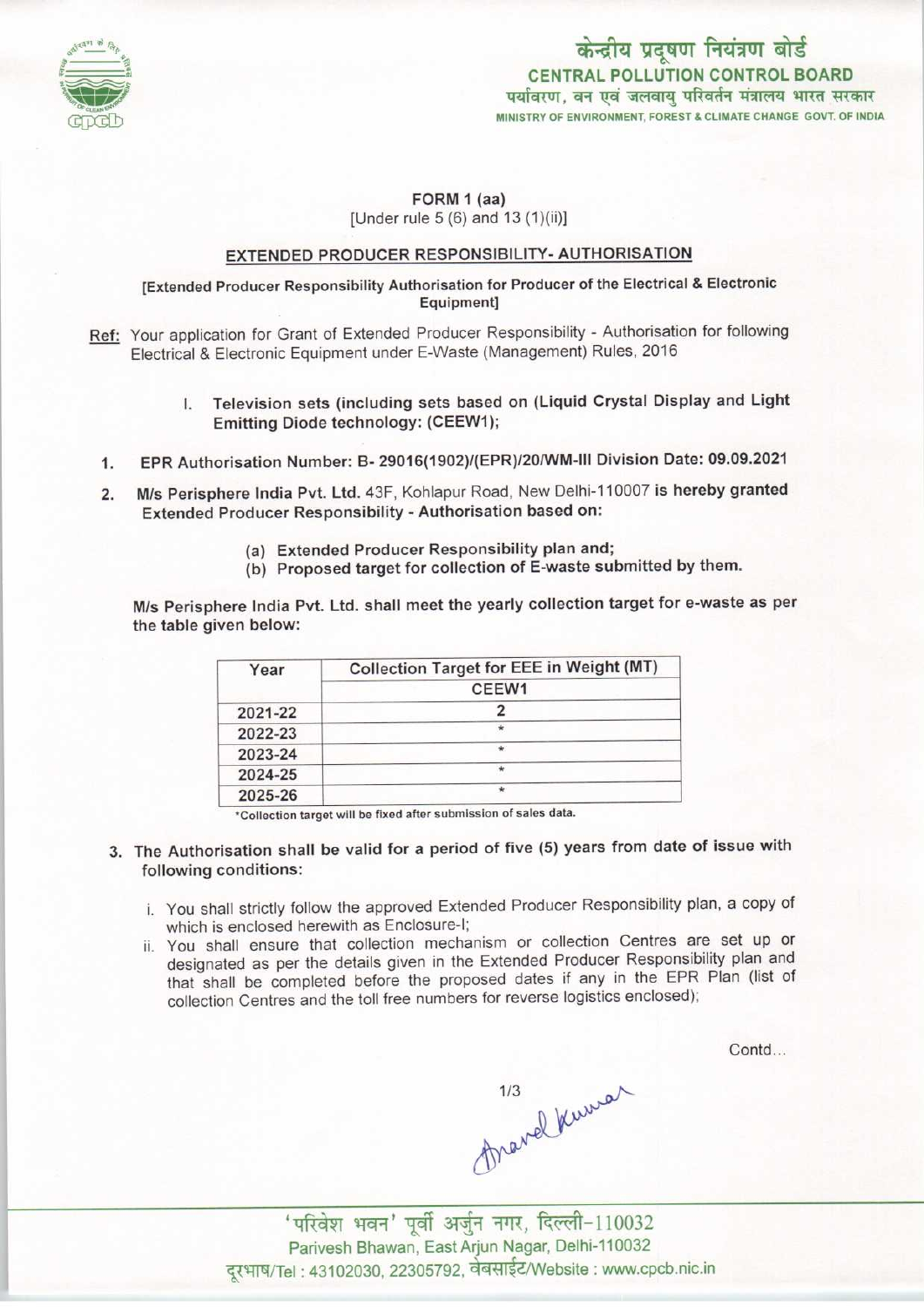

## FORM 1 (aa) [Under rule 5 (6) and 13 (1)(ii)]

## EXTENDED PRODUCER RESPONSIBILITY- AUTHORISATION

[Extended Producer Responsibility Authorisation for Producer of the Electrical & Electronic Equipment]

- Ref: Your application for Grant of Extended Producer Responsibility Authorisation for following Electrical & Electronic Equipment under E-Waste (Management) Rules, 2016
	- I. Television sets(including sets based on (Liquid Crystal Display and Light Emitting Diode technology: (CEEW1);
	- 1.EPR Authorisation Number: B- 29016(1902)/(EPR)/20/WM-lll Division Date: 09.09.2021
	- 2.M/s Perisphere India Pvt. Ltd. 43F, Kohlapur Road, New Delhi-110007 is hereby granted Extended Producer Responsibility - Authorisation based on:
		- (a)Extended Producer Responsibility plan and;
		- (b) Proposed target for collection of E-waste submitted by them.

M/s Perisphere India Pvt. Ltd. shall meet the yearly collection target for e-waste as per the table given below:

| Year    | Collection Target for EEE in Weight (MT) |
|---------|------------------------------------------|
|         | CEEW1                                    |
| 2021-22 |                                          |
| 2022-23 |                                          |
| 2023-24 | $\star$                                  |
| 2024-25 | $\star$                                  |
| 2025-26 | $\star$                                  |

\*Collection target will be fixed after submission of sales data.

- 3. The Authorisation shall be valid for a period of five (5) years from date of issue with following conditions:
	- i. You shall strictly follow the approved Extended Producer Responsibility plan, a copy of which is enclosed herewith as Enclosure-I;
	- ii. You shall ensure that collection mechanism or collection Centres are set up or designated as per the details given in the Extended Producer Responsibility plan and that shall be completed before the proposed dates if any in the EPR Plan (list of collection Centres and the toll free numbers for reverse logistics enclosed);

Contd...

 $$\frac{1}{3}$$ 'परिवेश भवन' पूर्वी अर्जुन नगर, दिल्ली-110032

Parivesh Bhawan, East Arjun Nagar, Delhi-110032 दूरभाष/Tel : 43102030, 22305792, वेबसाईट/Website : www.cpcb.nic.in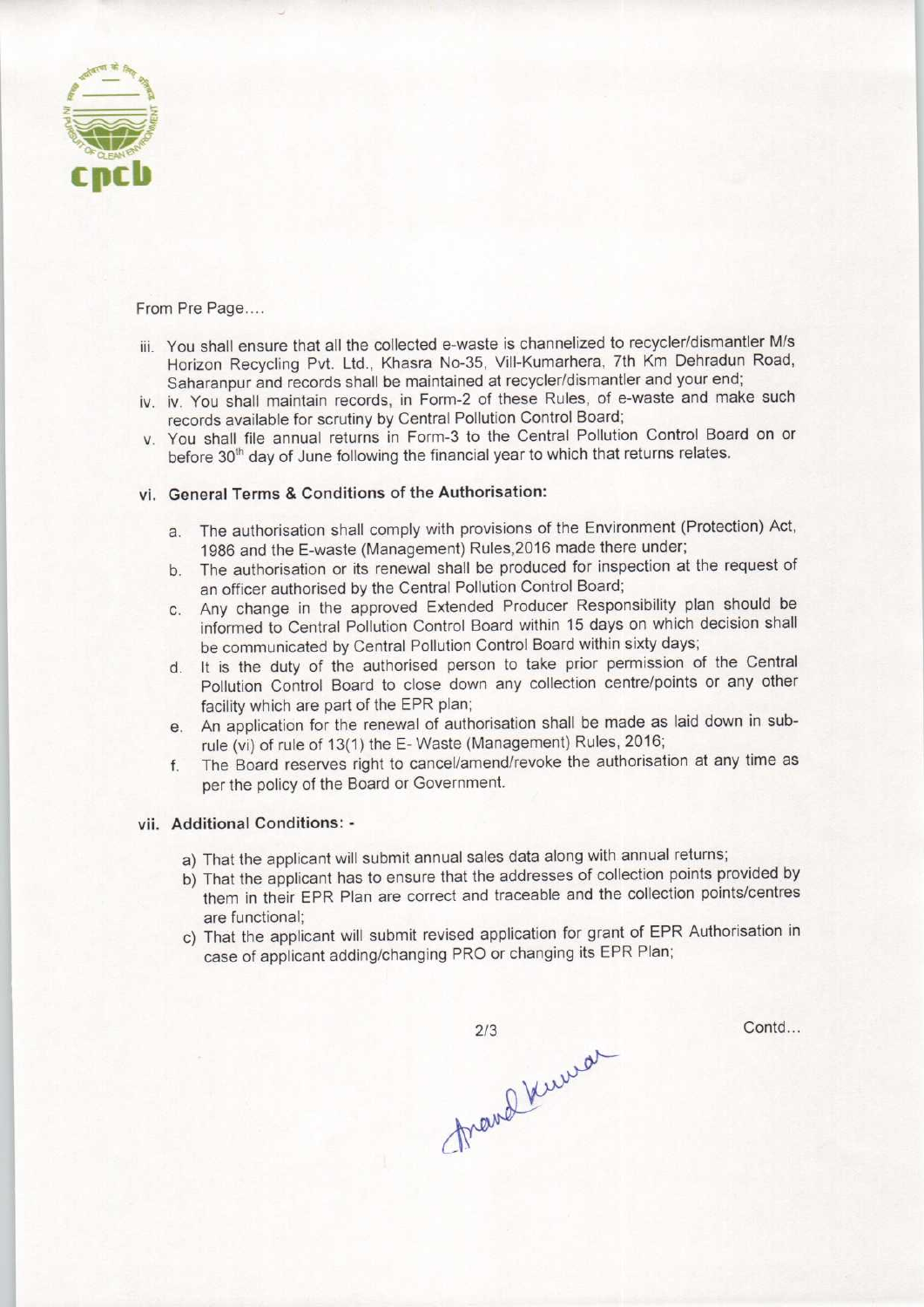

From Pre Page....

- iii. You shall ensure that all the collected e-waste is channelized to recycler/dismantler M/s Horizon Recycling Pvt. Ltd., Khasra No-35, Vill-Kumarhera, 7th Km Dehradun Road, Saharanpur and records shall be maintained at recycler/dismantler and your end;
- iv. iv. You shall maintain records, in Form-2 of these Rules, of e-waste and make such records available for scrutiny by Central Pollution Control Board;
- v. You shall file annual returns in Form-3 to the Central Pollution Control Board on or before 30<sup>th</sup> day of June following the financial year to which that returns relates.

## vi. General Terms & Conditions of the Authorisation:

- a. The authorisation shall comply with provisions of the Environment (Protection) Act, 1986 and the E-waste (Management) Rules,2016 made there under;
- b. The authorisation or its renewal shall be produced for inspection at the request of an officer authorised by the Central Pollution Control Board;
- c.Any change in the approved Extended Producer Responsibility plan should be informed to Central Pollution Control Board within 15 days on which decision shall be communicated by Central Pollution Control Board within sixty days;
- d. It is the duty of the authorised person to take prior permission of the Central Pollution Control Board to close down any collection centre/points or any other facility which are part of the EPR plan;
- e. An application for the renewal of authorisation shall be made as laid down in subrule (vi) of rule of 13(1) the E-Waste (Management) Rules, 2016;
- f. The Board reserves right to cancel/amend/revoke the authorisation at any time as per the policy of the Board or Government.

## vii. Additional Conditions: -

- a) That the applicant will submit annual sales data along with annual returns;
- b) That the applicant has to ensure that the addresses of collection points provided by them in their EPR Plan are correct and traceable and the collection points/centres are functional;
- c) That the applicant will submit revised application for grant of EPR Authorisation in case of applicant adding/changing PRO or changing its EPR Plan;

mand Kurrar  $2/3$ 

Contd...